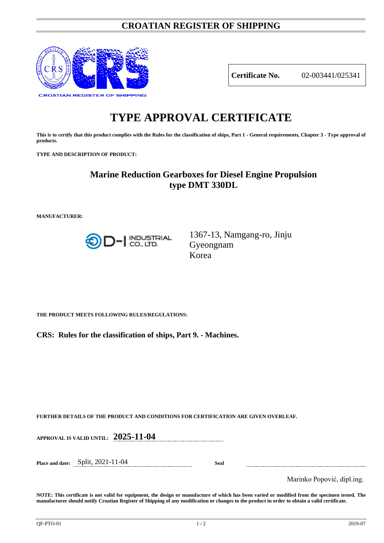### **CROATIAN REGISTER OF SHIPPING**



**Certificate No.** 02-003441/025341

# **TYPE APPROVAL CERTIFICATE**

**This is to certify that this product complies with the Rules for the classification of ships, Part 1 - General requirements, Chapter 3 - Type approval of products.**

**TYPE AND DESCRIPTION OF PRODUCT:** 

## **Marine Reduction Gearboxes for Diesel Engine Propulsion type DMT 330DL**

**MANUFACTURER:**



1367-13, Namgang-ro, Jinju Gyeongnam Korea

**THE PRODUCT MEETS FOLLOWING RULES/REGULATIONS:**

**CRS: Rules for the classification of ships, Part 9. - Machines.**

**FURTHER DETAILS OF THE PRODUCT AND CONDITIONS FOR CERTIFICATION ARE GIVEN OVERLEAF.**

**APPROVAL IS VALID UNTIL: 2025-11-04**

**Place and date:** Split, 2021-11-04 **Seal**

Marinko Popović, dipl.ing.

**NOTE: This certificate is not valid for equipment, the design or manufacture of which has been varied or modified from the specimen tested. The manufacturer should notify Croatian Register of Shipping of any modification or changes to the product in order to obtain a valid certificate.**